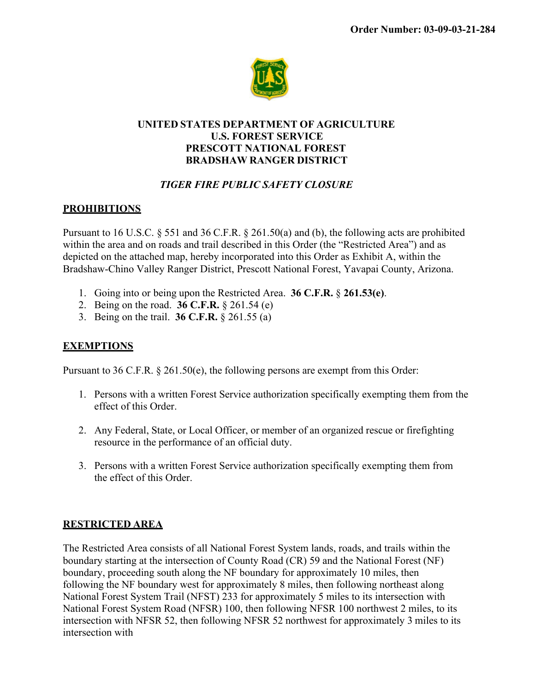

### **UNITED STATES DEPARTMENT OF AGRICULTURE U.S. FOREST SERVICE PRESCOTT NATIONAL FOREST BRADSHAW RANGER DISTRICT**

# *TIGER FIRE PUBLIC SAFETY CLOSURE*

# **PROHIBITIONS**

Pursuant to 16 U.S.C. § 551 and 36 C.F.R. § 261.50(a) and (b), the following acts are prohibited within the area and on roads and trail described in this Order (the "Restricted Area") and as depicted on the attached map, hereby incorporated into this Order as Exhibit A, within the Bradshaw-Chino Valley Ranger District, Prescott National Forest, Yavapai County, Arizona.

- 1. Going into or being upon the Restricted Area. **36 C.F.R.** § **261.53(e)**.
- 2. Being on the road. **36 C.F.R.** § 261.54 (e)
- 3. Being on the trail. **36 C.F.R.** § 261.55 (a)

## **EXEMPTIONS**

Pursuant to 36 C.F.R. § 261.50(e), the following persons are exempt from this Order:

- 1. Persons with a written Forest Service authorization specifically exempting them from the effect of this Order.
- 2. Any Federal, State, or Local Officer, or member of an organized rescue or firefighting resource in the performance of an official duty.
- 3. Persons with a written Forest Service authorization specifically exempting them from the effect of this Order.

### **RESTRICTED AREA**

The Restricted Area consists of all National Forest System lands, roads, and trails within the boundary starting at the intersection of County Road (CR) 59 and the National Forest (NF) boundary, proceeding south along the NF boundary for approximately 10 miles, then following the NF boundary west for approximately 8 miles, then following northeast along National Forest System Trail (NFST) 233 for approximately 5 miles to its intersection with National Forest System Road (NFSR) 100, then following NFSR 100 northwest 2 miles, to its intersection with NFSR 52, then following NFSR 52 northwest for approximately 3 miles to its intersection with